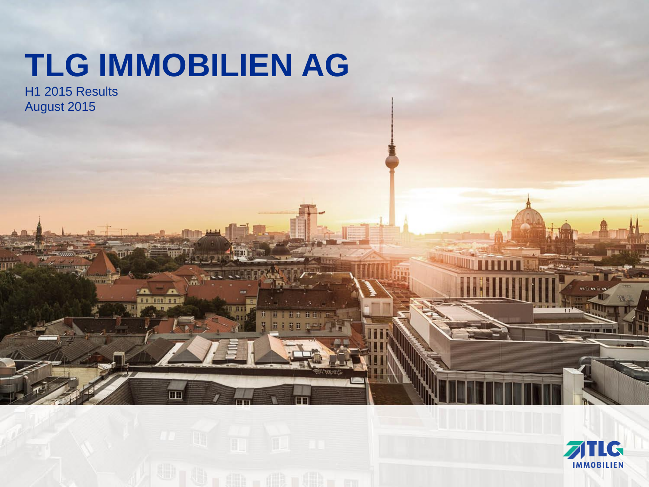# **TLG IMMOBILIEN AG**

12 M

H1 2015 Results August 2015

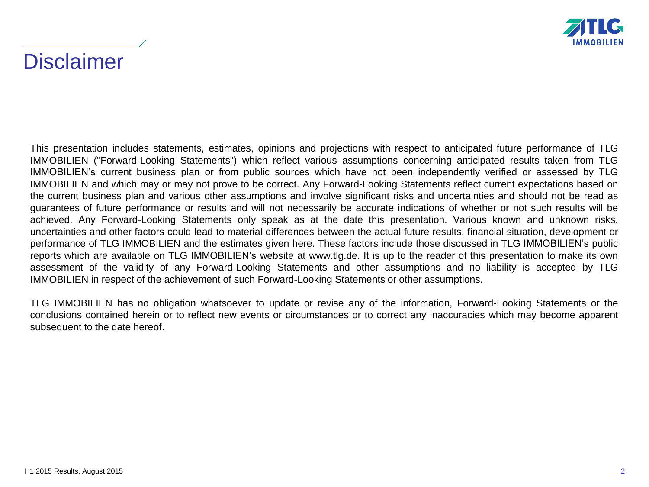

## **Disclaimer**

This presentation includes statements, estimates, opinions and projections with respect to anticipated future performance of TLG IMMOBILIEN ("Forward-Looking Statements") which reflect various assumptions concerning anticipated results taken from TLG IMMOBILIEN's current business plan or from public sources which have not been independently verified or assessed by TLG IMMOBILIEN and which may or may not prove to be correct. Any Forward-Looking Statements reflect current expectations based on the current business plan and various other assumptions and involve significant risks and uncertainties and should not be read as guarantees of future performance or results and will not necessarily be accurate indications of whether or not such results will be achieved. Any Forward-Looking Statements only speak as at the date this presentation. Various known and unknown risks. uncertainties and other factors could lead to material differences between the actual future results, financial situation, development or performance of TLG IMMOBILIEN and the estimates given here. These factors include those discussed in TLG IMMOBILIEN's public reports which are available on TLG IMMOBILIEN's website at www.tlg.de. It is up to the reader of this presentation to make its own assessment of the validity of any Forward-Looking Statements and other assumptions and no liability is accepted by TLG IMMOBILIEN in respect of the achievement of such Forward-Looking Statements or other assumptions.

TLG IMMOBILIEN has no obligation whatsoever to update or revise any of the information, Forward-Looking Statements or the conclusions contained herein or to reflect new events or circumstances or to correct any inaccuracies which may become apparent subsequent to the date hereof.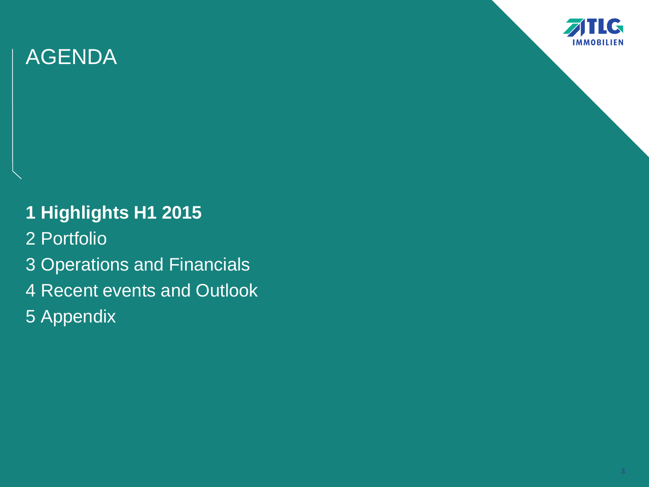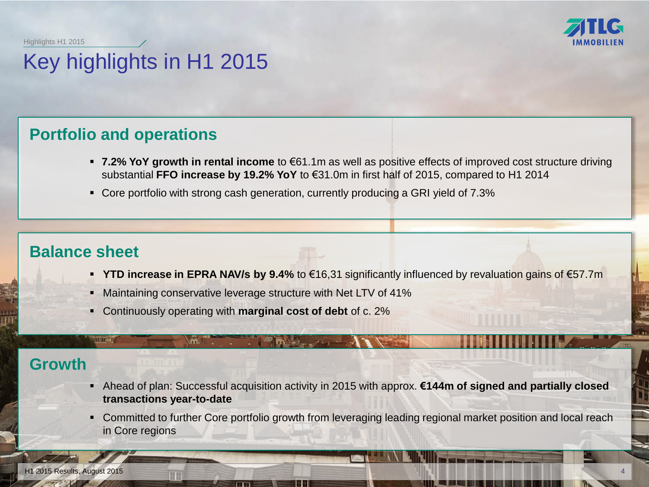Highlights H1 2015



# Key highlights in H1 2015

## **Portfolio and operations**

- **7.2% YoY growth in rental income** to €61.1m as well as positive effects of improved cost structure driving substantial **FFO increase by 19.2% YoY** to €31.0m in first half of 2015, compared to H1 2014
- Core portfolio with strong cash generation, currently producing a GRI yield of 7.3%

## **Balance sheet**

111111-0

- **YTD increase in EPRA NAV/s by 9.4%** to €16,31 significantly influenced by revaluation gains of €57.7m
- **Maintaining conservative leverage structure with Net LTV of 41%**
- Continuously operating with **marginal cost of debt** of c. 2%

 $m$   $\Gamma$  .

## **Growth**

- Ahead of plan: Successful acquisition activity in 2015 with approx. **€144m of signed and partially closed transactions year-to-date**
- Committed to further Core portfolio growth from leveraging leading regional market position and local reach in Core regions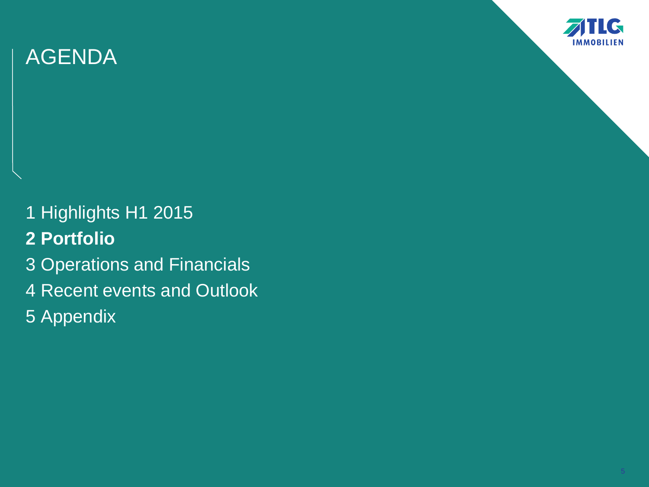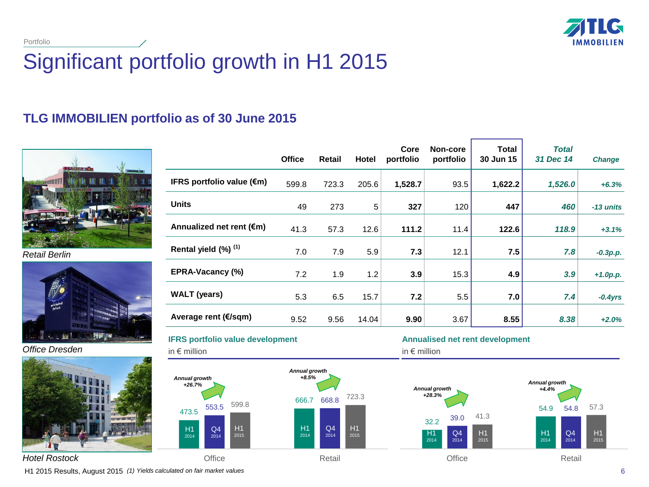

Portfolio

# Significant portfolio growth in H1 2015

### **TLG IMMOBILIEN portfolio as of 30 June 2015**



*Retail Berlin*



*Office Dresden*



|                                     | <b>Office</b> | <b>Retail</b> | Hotel | Core<br>portfolio | Non-core<br>portfolio | Total<br>30 Jun 15 | <b>Total</b><br>31 Dec 14 | <b>Change</b> |
|-------------------------------------|---------------|---------------|-------|-------------------|-----------------------|--------------------|---------------------------|---------------|
| IFRS portfolio value $(\epsilon m)$ | 599.8         | 723.3         | 205.6 | 1,528.7           | 93.5                  | 1,622.2            | 1,526.0                   | $+6.3%$       |
| <b>Units</b>                        | 49            | 273           | 5     | 327               | 120                   | 447                | 460                       | -13 units     |
| Annualized net rent $(\epsilon m)$  | 41.3          | 57.3          | 12.6  | 111.2             | 11.4                  | 122.6              | 118.9                     | $+3.1%$       |
| Rental yield (%) (1)                | 7.0           | 7.9           | 5.9   | 7.3               | 12.1                  | 7.5                | 7.8                       | $-0.3p.p.$    |
| <b>EPRA-Vacancy (%)</b>             | 7.2           | 1.9           | 1.2   | 3.9               | 15.3                  | 4.9                | 3.9                       | $+1.0p.p.$    |
| <b>WALT</b> (years)                 | 5.3           | 6.5           | 15.7  | 7.2               | 5.5                   | 7.0                | 7.4                       | $-0.4yrs$     |
| Average rent (€/sqm)                | 9.52          | 9.56          | 14.04 | 9.90              | 3.67                  | 8.55               | 8.38                      | $+2.0%$       |

**IFRS portfolio value development** 

473.5

*+26.7%*

H1 2014

in € million



### **Annualised net rent development**

in € million



H1 2015 Results, August 2015 *(1) Yields calculated on fair market values* 6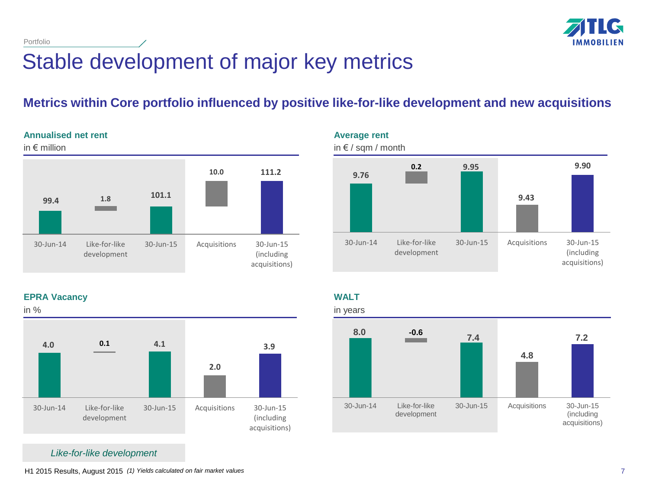

Portfolio

# Stable development of major key metrics

## **Metrics within Core portfolio influenced by positive like-for-like development and new acquisitions**

### **Annualised net rent**



**9.76 9.95 9.43 0.2 9.90** 30-Jun-14 Like-for-like development 30-Jun-15 Acquisitions 30-Jun-15 (including acquisitions) **Average rent** in € / sqm / month

**EPRA Vacancy**



**WALT**



*Like-for-like development*

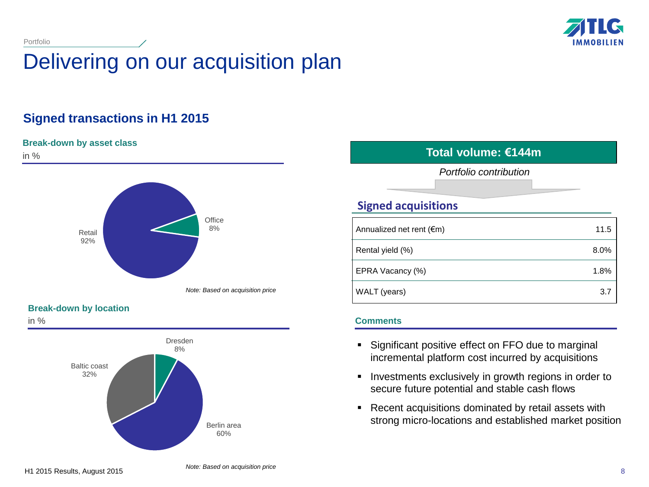

# Delivering on our acquisition plan

### **Signed transactions in H1 2015**

### **Break-down by asset class**

Portfolio



### **Break-down by location**

in %



### in % **Total volume: €144m**

*Portfolio contribution*

### **Signed acquisitions**

| Annualized net rent $(\epsilon m)$ | 11.5 |
|------------------------------------|------|
| Rental yield (%)                   | 8.0% |
| EPRA Vacancy (%)                   | 1.8% |
| WALT (years)                       | 3.7  |

### **Comments**

- **Significant positive effect on FFO due to marginal** incremental platform cost incurred by acquisitions
- **Investments exclusively in growth regions in order to** secure future potential and stable cash flows
- **Recent acquisitions dominated by retail assets with** strong micro-locations and established market position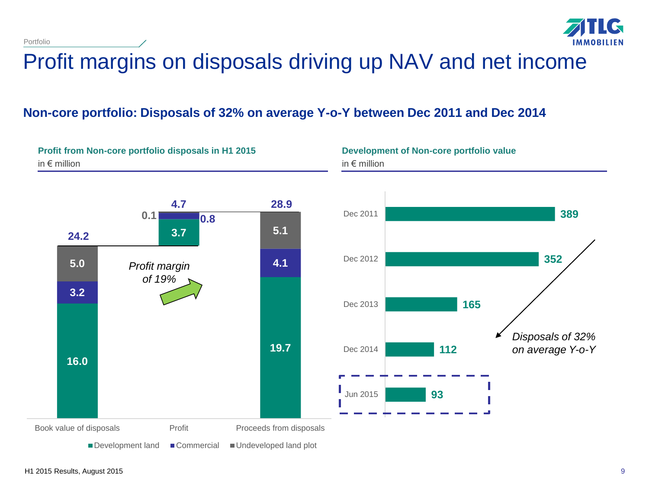Portfolio



# Profit margins on disposals driving up NAV and net income

### **Non-core portfolio: Disposals of 32% on average Y-o-Y between Dec 2011 and Dec 2014**

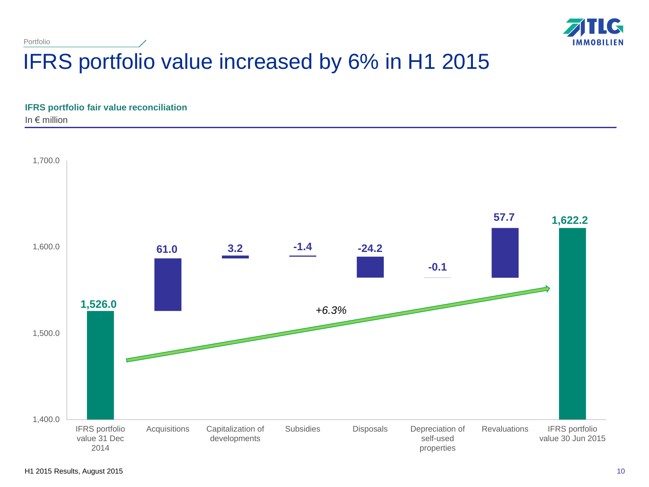

# IFRS portfolio value increased by 6% in H1 2015

**IFRS portfolio fair value reconciliation**

In  $\epsilon$  million

Portfolio

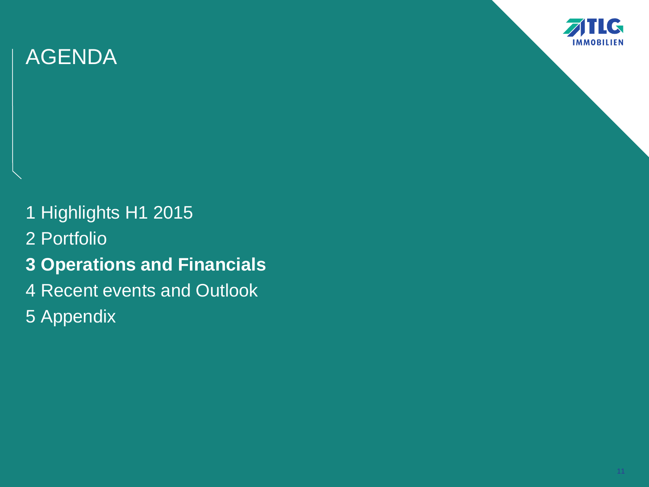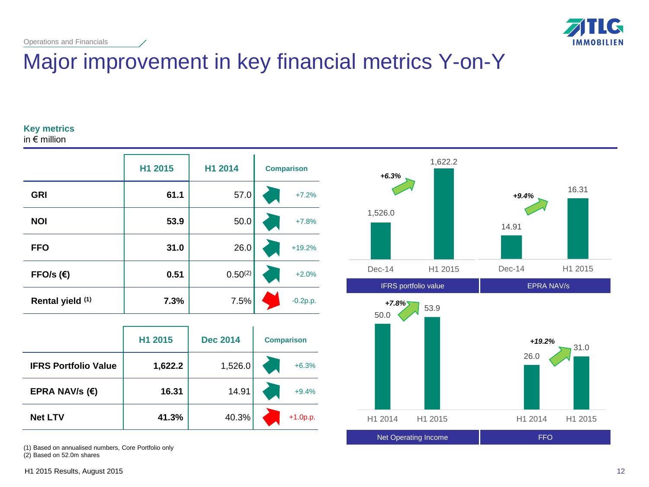

## Major improvement in key financial metrics Y-on-Y

### **Key metrics**

in € million

|                  | H1 2015 | H1 2014      | <b>Comparison</b> |
|------------------|---------|--------------|-------------------|
| <b>GRI</b>       | 61.1    | 57.0         | $+7.2%$           |
| <b>NOI</b>       | 53.9    | 50.0         | $+7.8%$           |
| <b>FFO</b>       | 31.0    | 26.0         | $+19.2%$          |
| FFO/s $(€)$      | 0.51    | $0.50^{(2)}$ | $+2.0%$           |
| Rental yield (1) | 7.3%    | 7.5%         | $-0.2p.p.$        |

|                             | H1 2015 | <b>Dec 2014</b> | <b>Comparison</b> |
|-----------------------------|---------|-----------------|-------------------|
| <b>IFRS Portfolio Value</b> | 1,622.2 | 1,526.0         | $+6.3%$           |
| EPRA NAV/s $(\epsilon)$     | 16.31   | 14.91           | $+9.4%$           |
| <b>Net LTV</b>              | 41.3%   | 40.3%           | $+1.0p.p.$        |

(1) Based on annualised numbers, Core Portfolio only

(2) Based on 52.0m shares





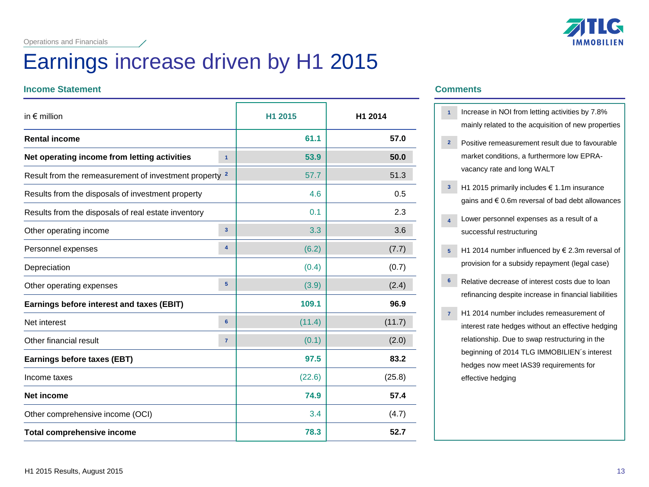## Earnings increase driven by H1 2015

### **Income Statement Comments**

| in $\epsilon$ million                                             |                         | H1 2015 | H1 2014 |
|-------------------------------------------------------------------|-------------------------|---------|---------|
| <b>Rental income</b>                                              |                         | 61.1    | 57.0    |
| Net operating income from letting activities                      | $\mathbf{1}$            | 53.9    | 50.0    |
| Result from the remeasurement of investment property <sup>2</sup> |                         | 57.7    | 51.3    |
| Results from the disposals of investment property                 |                         | 4.6     | 0.5     |
| Results from the disposals of real estate inventory               |                         | 0.1     | 2.3     |
| Other operating income                                            | 3 <sup>2</sup>          | 3.3     | 3.6     |
| Personnel expenses                                                | $\overline{\mathbf{4}}$ | (6.2)   | (7.7)   |
| Depreciation                                                      |                         | (0.4)   | (0.7)   |
| Other operating expenses                                          | 5                       | (3.9)   | (2.4)   |
| Earnings before interest and taxes (EBIT)                         |                         | 109.1   | 96.9    |
| Net interest                                                      | 6                       | (11.4)  | (11.7)  |
| Other financial result                                            | $\overline{7}$          | (0.1)   | (2.0)   |
| Earnings before taxes (EBT)                                       |                         | 97.5    | 83.2    |
| Income taxes                                                      |                         | (22.6)  | (25.8)  |
| <b>Net income</b>                                                 |                         | 74.9    | 57.4    |
| Other comprehensive income (OCI)                                  |                         | 3.4     | (4.7)   |
| <b>Total comprehensive income</b>                                 |                         | 78.3    | 52.7    |



- Increase in NOI from letting activities by 7.8% **1** mainly related to the acquisition of new properties
- Positive remeasurement result due to favourable market conditions, a furthermore low EPRAvacancy rate and long WALT **2**
- $\mathsf{H}$  **H1 2015 primarily includes**  $\epsilon$  **1.1m insurance** gains and € 0.6m reversal of bad debt allowances
- Lower personnel expenses as a result of a successful restructuring **4**
- $\mathsf{H}$  H1 2014 number influenced by  $\in$  2.3m reversal of provision for a subsidy repayment (legal case)
- Relative decrease of interest costs due to loan refinancing despite increase in financial liabilities **6**
- H1 2014 number includes remeasurement of interest rate hedges without an effective hedging relationship. Due to swap restructuring in the beginning of 2014 TLG IMMOBILIEN´s interest hedges now meet IAS39 requirements for effective hedging **7**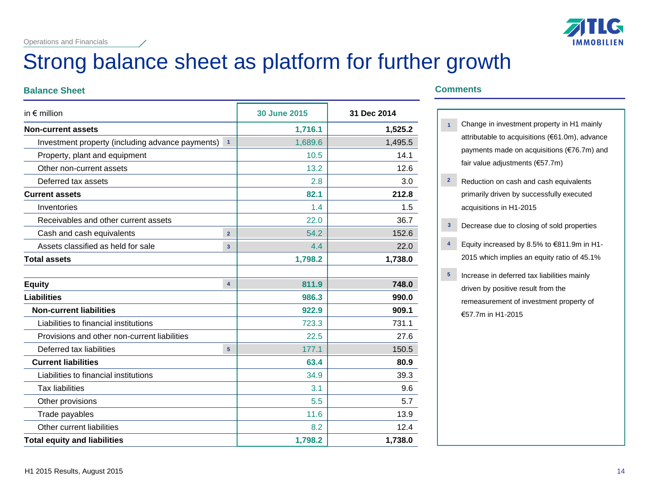

# Strong balance sheet as platform for further growth

### **Balance Sheet Comments**

| in $\epsilon$ million                            |                         | <b>30 June 2015</b> | 31 Dec 2014 |
|--------------------------------------------------|-------------------------|---------------------|-------------|
| <b>Non-current assets</b>                        |                         | 1,716.1             | 1,525.2     |
| Investment property (including advance payments) | $\overline{1}$          | 1,689.6             | 1,495.5     |
| Property, plant and equipment                    |                         | 10.5                | 14.1        |
| Other non-current assets                         |                         | 13.2                | 12.6        |
| Deferred tax assets                              |                         | 2.8                 | 3.0         |
| <b>Current assets</b>                            |                         | 82.1                | 212.8       |
| Inventories                                      |                         | 1.4                 | 1.5         |
| Receivables and other current assets             |                         | 22.0                | 36.7        |
| Cash and cash equivalents                        | $\overline{2}$          | 54.2                | 152.6       |
| Assets classified as held for sale               | $\overline{\mathbf{3}}$ | 4.4                 | 22.0        |
| <b>Total assets</b>                              |                         | 1,798.2             | 1,738.0     |
|                                                  |                         |                     |             |
| <b>Equity</b>                                    | $\overline{\mathbf{4}}$ | 811.9               | 748.0       |
| <b>Liabilities</b>                               |                         | 986.3               | 990.0       |
| <b>Non-current liabilities</b>                   |                         | 922.9               | 909.1       |
| Liabilities to financial institutions            |                         | 723.3               | 731.1       |
| Provisions and other non-current liabilities     |                         | 22.5                | 27.6        |
| Deferred tax liabilities                         | 5 <sup>5</sup>          | 177.1               | 150.5       |
| <b>Current liabilities</b>                       |                         | 63.4                | 80.9        |
| Liabilities to financial institutions            |                         | 34.9                | 39.3        |
| <b>Tax liabilities</b>                           |                         | 3.1                 | 9.6         |
| Other provisions                                 |                         | 5.5                 | 5.7         |
| Trade payables                                   |                         | 11.6                | 13.9        |
| Other current liabilities                        |                         | 8.2                 | 12.4        |
| <b>Total equity and liabilities</b>              |                         | 1,798.2             | 1,738.0     |

- Change in investment property in H1 mainly attributable to acquisitions (€61.0m), advance payments made on acquisitions (€76.7m) and fair value adjustments (€57.7m) **1**
- Reduction on cash and cash equivalents primarily driven by successfully executed acquisitions in H1-2015 **2**
- Decrease due to closing of sold properties **3**
- Equity increased by 8.5% to €811.9m in H1- 2015 which implies an equity ratio of 45.1% **4**
- Increase in deferred tax liabilities mainly driven by positive result from the remeasurement of investment property of €57.7m in H1-2015 **5**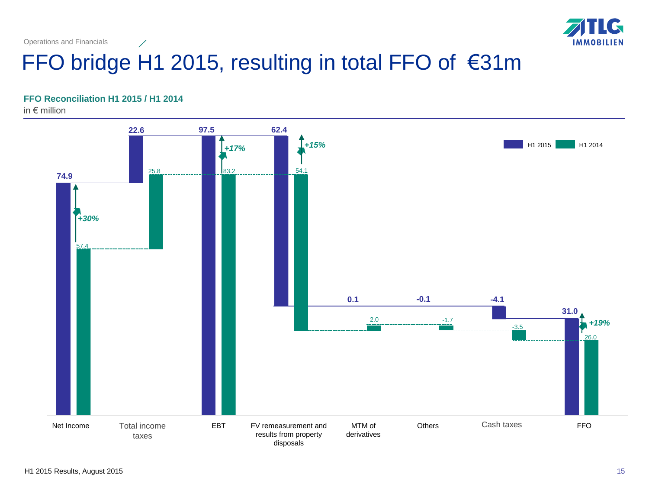

# FFO bridge H1 2015, resulting in total FFO of €31m

### **FFO Reconciliation H1 2015 / H1 2014**

in € million

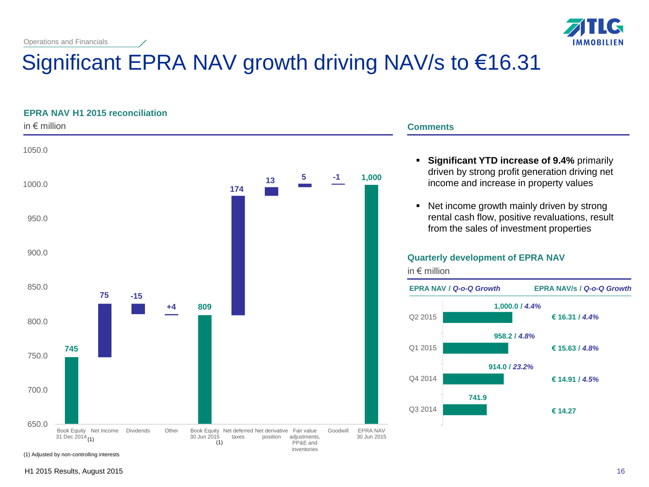

# Significant EPRA NAV growth driving NAV/s to €16.31

### **EPRA NAV H1 2015 reconciliation**



### **Comments**

- **Significant YTD increase of 9.4%** primarily driven by strong profit generation driving net income and increase in property values
- Net income growth mainly driven by strong rental cash flow, positive revaluations, result from the sales of investment properties

### **Quarterly development of EPRA NAV**



(1) Adjusted by non-controlling interests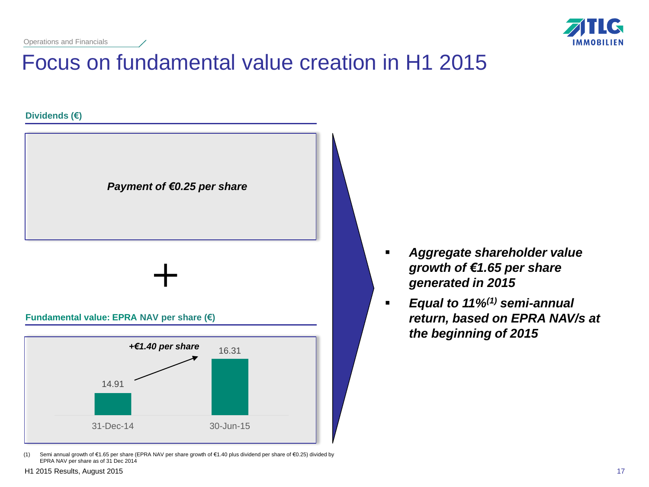

# Focus on fundamental value creation in H1 2015



(1) Semi annual growth of €1.65 per share (EPRA NAV per share growth of €1.40 plus dividend per share of €0.25) divided by EPRA NAV per share as of 31 Dec 2014

- *Aggregate shareholder value growth of €1.65 per share generated in 2015*
- *Equal to 11%(1) semi-annual return, based on EPRA NAV/s at the beginning of 2015*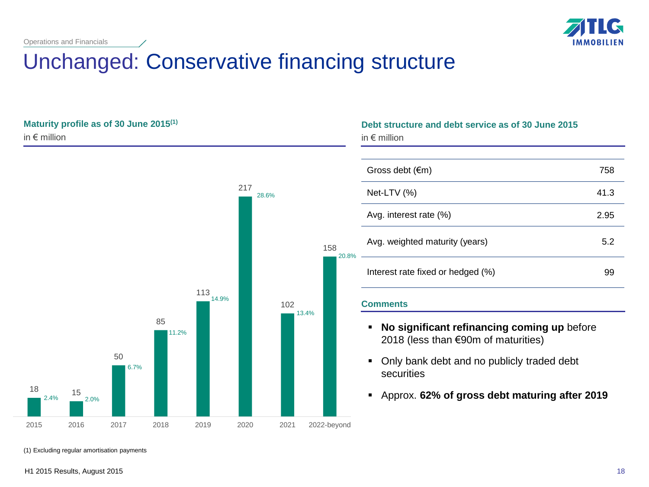

## Unchanged: Conservative financing structure

### **Maturity profile as of 30 June 2015(1)** in € million



| Debt structure and debt service as of 30 June 2015<br>in $\epsilon$ million |      |  |  |
|-----------------------------------------------------------------------------|------|--|--|
|                                                                             |      |  |  |
| Gross debt $(\epsilon m)$                                                   | 758  |  |  |
| Net-LTV (%)                                                                 | 41.3 |  |  |
| Avg. interest rate (%)                                                      | 2.95 |  |  |
| Avg. weighted maturity (years)                                              | 5.2  |  |  |
| Interest rate fixed or hedged (%)                                           | 99   |  |  |

### **Comments**

- **No significant refinancing coming up** before 2018 (less than €90m of maturities)
- Only bank debt and no publicly traded debt securities
- Approx. **62% of gross debt maturing after 2019**

(1) Excluding regular amortisation payments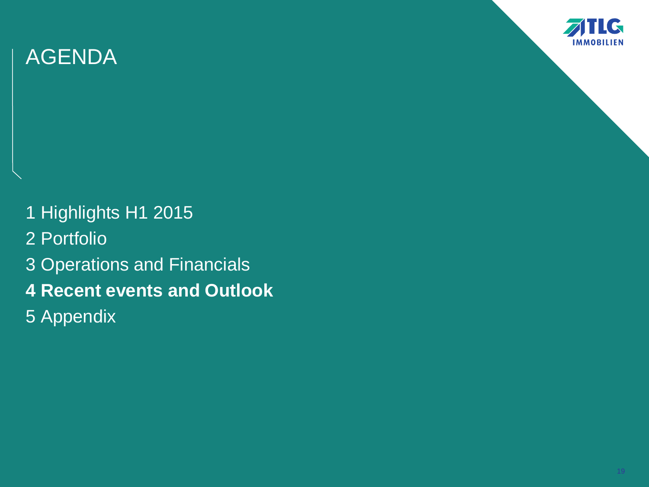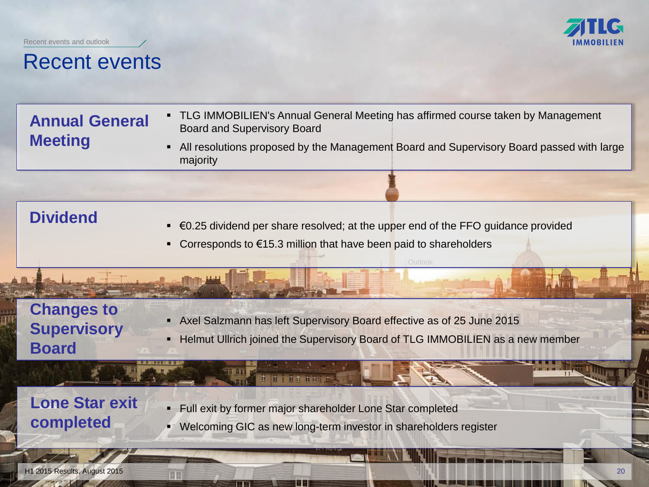Recent events and outlook



## Recent events

**Annual General Meeting** 

- TLG IMMOBILIEN's Annual General Meeting has affirmed course taken by Management Board and Supervisory Board
- All resolutions proposed by the Management Board and Supervisory Board passed with large majority

## **Dividend**

- €0.25 dividend per share resolved; at the upper end of the FFO guidance provided
- Corresponds to €15.3 million that have been paid to shareholders

## **Changes to Supervisory Board**

- Axel Salzmann has left Supervisory Board effective as of 25 June 2015
- **EXTERM** Helmut Ullrich joined the Supervisory Board of TLG IMMOBILIEN as a new member

## **Lone Star exit completed**

Full exit by former major shareholder Lone Star completed

th tttth

Welcoming GIC as new long-term investor in shareholders register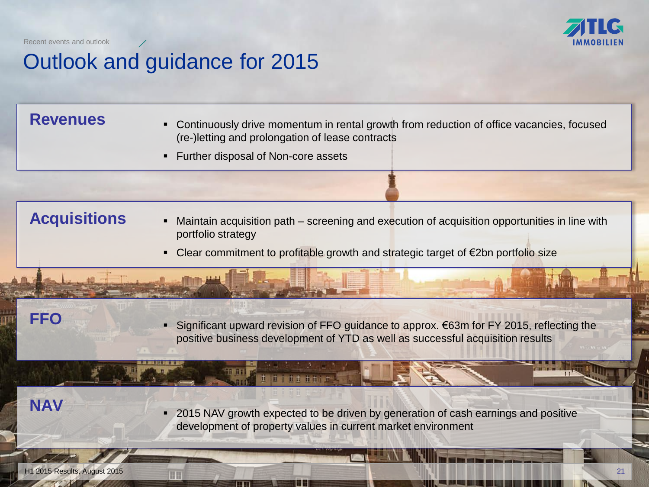Recent events and outlook

## Outlook and guidance for 2015

- Revenues **IPA Continuously drive momentum in rental growth from reduction of office vacancies, focused <b>Revenues** (re-)letting and prolongation of lease contracts
	- **Further disposal of Non-core assets**

## **Acquisitions**

- Maintain acquisition path screening and execution of acquisition opportunities in line with portfolio strategy
- Clear commitment to profitable growth and strategic target of €2bn portfolio size

## **FFO**

■ Significant upward revision of FFO guidance to approx.  $€63m$  for FY 2015, reflecting the positive business development of YTD as well as successful acquisition results

**NAV**

**2015 NAV growth expected to be driven by generation of cash earnings and positive** development of property values in current market environment

th tttth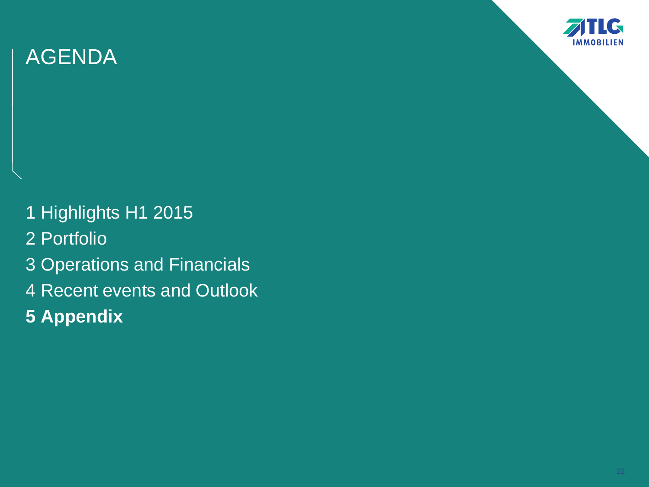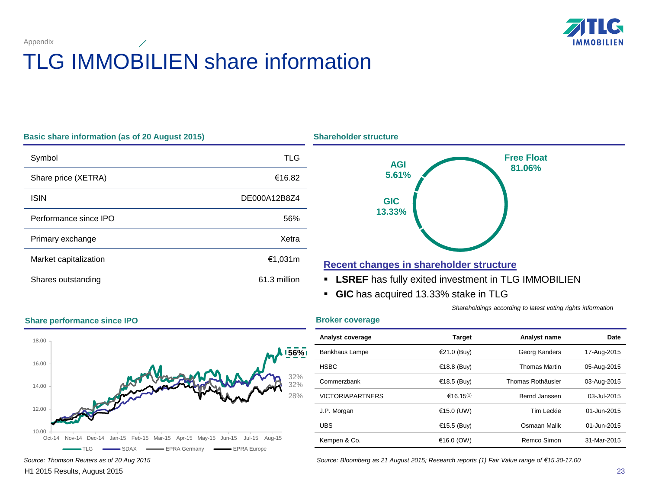

# TLG IMMOBILIEN share information

| Basic share information (as of 20 August 2015) |              |
|------------------------------------------------|--------------|
| Symbol                                         | TLG          |
| Share price (XETRA)                            | €16.82       |
| <b>ISIN</b>                                    | DE000A12B8Z4 |
| Performance since IPO                          | 56%          |
| Primary exchange                               | Xetra        |
| Market capitalization                          | €1,031m      |
| Shares outstanding                             | 61.3 million |



### **Recent changes in shareholder structure**

- **LSREF** has fully exited investment in TLG IMMOBILIEN
- **GIC** has acquired 13.33% stake in TLG

*Shareholdings according to latest voting rights information*

### **Broker coverage**

**Shareholder structure** 



| Analyst coverage        | <b>Target</b>         | Analyst name         | Date        |
|-------------------------|-----------------------|----------------------|-------------|
| Bankhaus Lampe          | €21.0 (Buy)           | Georg Kanders        | 17-Aug-2015 |
| <b>HSBC</b>             | €18.8 (Buy)           | <b>Thomas Martin</b> | 05-Aug-2015 |
| Commerzbank             | €18.5 (Buy)           | Thomas Rothäusler    | 03-Aug-2015 |
| <b>VICTORIAPARTNERS</b> | €16.15 <sup>(1)</sup> | Bernd Janssen        | 03-Jul-2015 |
| J.P. Morgan             | €15.0 (UW)            | Tim Leckie           | 01-Jun-2015 |
| <b>UBS</b>              | €15.5 (Buy)           | Osmaan Malik         | 01-Jun-2015 |
| Kempen & Co.            | €16.0 (OW)            | Remco Simon          | 31-Mar-2015 |

*Source: Bloomberg as 21 August 2015; Research reports (1) Fair Value range of €15.30-17.00*

### **Share performance since IPO**

Appendix

H1 2015 Results, August 2015

23